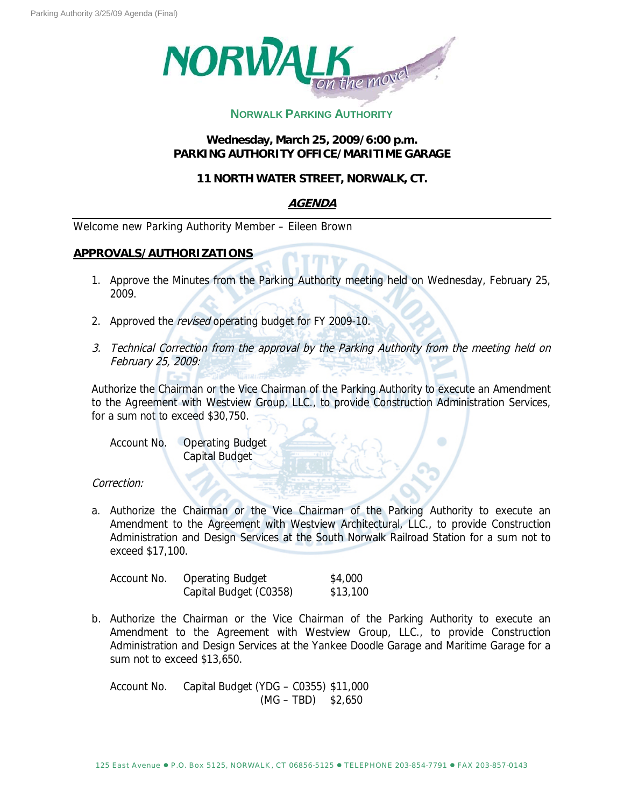

# **NORWALK PARKING AUTHORITY**

#### **Wednesday, March 25, 2009/6:00 p.m. PARKING AUTHORITY OFFICE/MARITIME GARAGE**

### **11 NORTH WATER STREET, NORWALK, CT.**

# **AGENDA**

Welcome new Parking Authority Member – Eileen Brown

#### **APPROVALS/AUTHORIZATIONS**

- 1. Approve the Minutes from the Parking Authority meeting held on Wednesday, February 25, 2009.
- 2. Approved the revised operating budget for FY 2009-10.
- 3. Technical Correction from the approval by the Parking Authority from the meeting held on February 25, 2009:

Authorize the Chairman or the Vice Chairman of the Parking Authority to execute an Amendment to the Agreement with Westview Group, LLC., to provide Construction Administration Services, for a sum not to exceed \$30,750.

Account No. Operating Budget Capital Budget

#### Correction:

a. Authorize the Chairman or the Vice Chairman of the Parking Authority to execute an Amendment to the Agreement with Westview Architectural, LLC., to provide Construction Administration and Design Services at the South Norwalk Railroad Station for a sum not to exceed \$17,100.

| Account No. | <b>Operating Budget</b> | \$4,000  |
|-------------|-------------------------|----------|
|             | Capital Budget (C0358)  | \$13,100 |

b. Authorize the Chairman or the Vice Chairman of the Parking Authority to execute an Amendment to the Agreement with Westview Group, LLC., to provide Construction Administration and Design Services at the Yankee Doodle Garage and Maritime Garage for a sum not to exceed \$13,650.

Account No. Capital Budget (YDG – C0355) \$11,000  $(MG - TBD)$  \$2,650